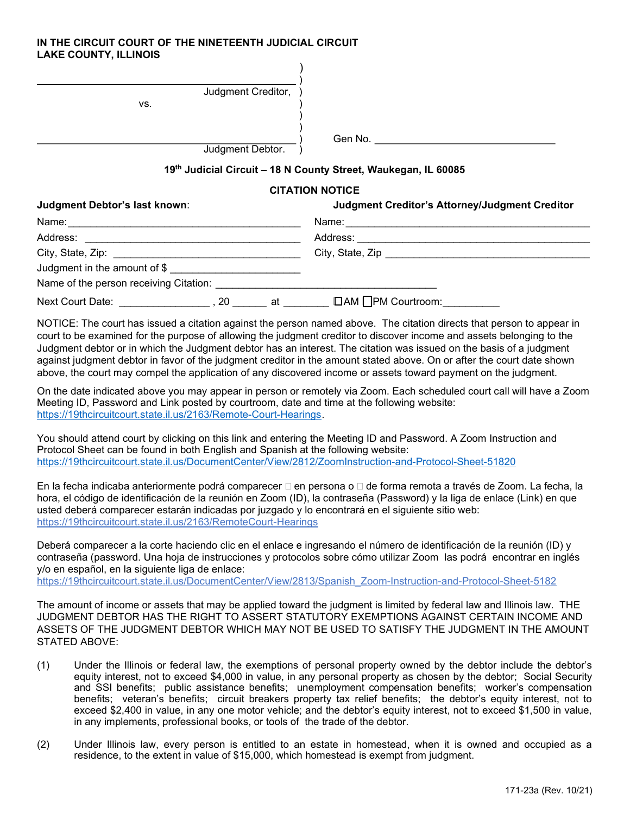## IN THE CIRCUIT COURT OF THE NINETEENTH JUDICIAL CIRCUIT LAKE COUNTY, ILLINOIS

| Judgment Creditor,<br>VS. |         |
|---------------------------|---------|
| Judgment Debtor.          | Gen No. |

## 19th Judicial Circuit - 18 N County Street, Waukegan, IL 60085

## CITATION NOTICE

| Judgment Debtor's last known:                                                 |  | Judgment Creditor's Attorney/Judgment Creditor |
|-------------------------------------------------------------------------------|--|------------------------------------------------|
|                                                                               |  |                                                |
|                                                                               |  |                                                |
|                                                                               |  |                                                |
| Judgment in the amount of \$                                                  |  |                                                |
| Name of the person receiving Citation: Name of the person receiving Citation: |  |                                                |
| Next Court Date: _________________, 20 _______ at _________                   |  | □AM □PM Courtroom:_________                    |

NOTICE: The court has issued a citation against the person named above. The citation directs that person to appear in court to be examined for the purpose of allowing the judgment creditor to discover income and assets belonging to the Judgment debtor or in which the Judgment debtor has an interest. The citation was issued on the basis of a judgment against judgment debtor in favor of the judgment creditor in the amount stated above. On or after the court date shown above, the court may compel the application of any discovered income or assets toward payment on the judgment.

On the date indicated above you may appear in person or remotely via Zoom. Each scheduled court call will have a Zoom Meeting ID, Password and Link posted by courtroom, date and time at the following website: https://19thcircuitcourt.state.il.us/2163/Remote-Court-Hearings.

You should attend court by clicking on this link and entering the Meeting ID and Password. A Zoom Instruction and Protocol Sheet can be found in both English and Spanish at the following website: https://19thcircuitcourt.state.il.us/DocumentCenter/View/2812/ZoomInstruction-and-Protocol-Sheet-51820

En la fecha indicaba anteriormente podrá comparecer  $\Box$  en persona o  $\Box$  de forma remota a través de Zoom. La fecha, la hora, el código de identificación de la reunión en Zoom (ID), la contraseña (Password) y la liga de enlace (Link) en que usted deberá comparecer estarán indicadas por juzgado y lo encontrará en el siguiente sitio web: https://19thcircuitcourt.state.il.us/2163/RemoteCourt-Hearings

Deberá comparecer a la corte haciendo clic en el enlace e ingresando el número de identificación de la reunión (ID) y contraseña (password. Una hoja de instrucciones y protocolos sobre cómo utilizar Zoom las podrá encontrar en inglés y/o en español, en la siguiente liga de enlace: https://19thcircuitcourt.state.il.us/DocumentCenter/View/2813/Spanish\_Zoom-Instruction-and-Protocol-Sheet-5182

The amount of income or assets that may be applied toward the judgment is limited by federal law and Illinois law. THE JUDGMENT DEBTOR HAS THE RIGHT TO ASSERT STATUTORY EXEMPTIONS AGAINST CERTAIN INCOME AND ASSETS OF THE JUDGMENT DEBTOR WHICH MAY NOT BE USED TO SATISFY THE JUDGMENT IN THE AMOUNT STATED ABOVE:

- (1) Under the Illinois or federal law, the exemptions of personal property owned by the debtor include the debtor's equity interest, not to exceed \$4,000 in value, in any personal property as chosen by the debtor; Social Security and SSI benefits; public assistance benefits; unemployment compensation benefits; worker's compensation benefits; veteran's benefits; circuit breakers property tax relief benefits; the debtor's equity interest, not to exceed \$2,400 in value, in any one motor vehicle; and the debtor's equity interest, not to exceed \$1,500 in value, in any implements, professional books, or tools of the trade of the debtor.
- (2) Under Illinois law, every person is entitled to an estate in homestead, when it is owned and occupied as a residence, to the extent in value of \$15,000, which homestead is exempt from judgment.